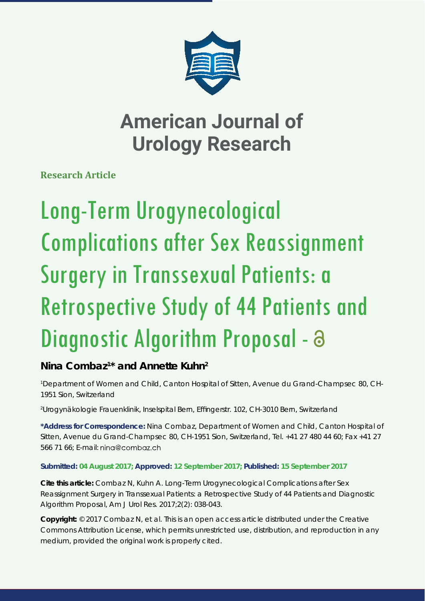

**Research Article**

# Long-Term Urogynecological Complications after Sex Reassignment Surgery in Transsexual Patients: a Retrospective Study of 44 Patients and Diagnostic Algorithm Proposal - a

## **Nina Combaz1 \* and Annette Kuhn2**

*1 Department of Women and Child, Canton Hospital of Sitten, Avenue du Grand-Champsec 80, CH-1951 Sion, Switzerland*

*2 Urogynäkologie Frauenklinik, Inselspital Bern, Effi ngerstr. 102, CH-3010 Bern, Switzerland*

**\*Address for Correspondence:** Nina Combaz, Department of Women and Child, Canton Hospital of Sitten, Avenue du Grand-Champsec 80, CH-1951 Sion, Switzerland, Tel. +41 27 480 44 60; Fax +41 27 566 71 66; E-mail:

### **Submitted: 04 August 2017; Approved: 12 September 2017; Published: 15 September 2017**

**Cite this article:** Combaz N, Kuhn A. Long-Term Urogynecological Complications after Sex Reassignment Surgery in Transsexual Patients: a Retrospective Study of 44 Patients and Diagnostic Algorithm Proposal, Am J Urol Res. 2017;2(2): 038-043.

**Copyright:** © 2017 Combaz N, et al. This is an open access article distributed under the Creative Commons Attribution License, which permits unrestricted use, distribution, and reproduction in any medium, provided the original work is properly cited.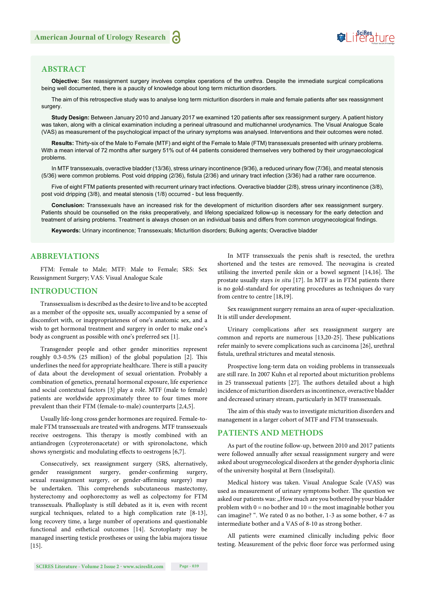

#### **ABSTRACT**

**Objective:** Sex reassignment surgery involves complex operations of the urethra. Despite the immediate surgical complications being well documented, there is a paucity of knowledge about long term micturition disorders.

The aim of this retrospective study was to analyse long term micturition disorders in male and female patients after sex reassignment surgery.

**Study Design:** Between January 2010 and January 2017 we examined 120 patients after sex reassignment surgery. A patient history was taken, along with a clinical examination including a perineal ultrasound and multichannel urodynamics. The Visual Analogue Scale (VAS) as measurement of the psychological impact of the urinary symptoms was analysed. Interventions and their outcomes were noted.

**Results:** Thirty-six of the Male to Female (MTF) and eight of the Female to Male (FTM) transsexuals presented with urinary problems. With a mean interval of 72 months after surgery 51% out of 44 patients considered themselves very bothered by their urogynaecological problems.

In MTF transsexuals, overactive bladder (13/36), stress urinary incontinence (9/36), a reduced urinary flow (7/36), and meatal stenosis (5/36) were common problems. Post void dripping (2/36), fistula (2/36) and urinary tract infection (3/36) had a rather rare occurrence.

Five of eight FTM patients presented with recurrent urinary tract infections. Overactive bladder (2/8), stress urinary incontinence (3/8), post void dripping (3/8), and meatal stenosis (1/8) occurred - but less frequently.

**Conclusion:** Transsexuals have an increased risk for the development of micturition disorders after sex reassignment surgery. Patients should be counselled on the risks preoperatively, and lifelong specialized follow-up is necessary for the early detection and treatment of arising problems. Treatment is always chosen on an individual basis and differs from common urogynecological findings.

**Keywords:** Urinary incontinence; Transsexuals; Micturition disorders; Bulking agents; Overactive bladder

#### **ABBREVIATIONS**

FTM: Female to Male; MTF: Male to Female; SRS: Sex Reassignment Surgery; VAS: Visual Analogue Scale

#### **INTRODUCTION**

Transsexualism is described as the desire to live and to be accepted as a member of the opposite sex, usually accompanied by a sense of discomfort with, or inappropriateness of one's anatomic sex, and a wish to get hormonal treatment and surgery in order to make one's body as congruent as possible with one's preferred sex [1].

Transgender people and other gender minorities represent roughly  $0.3-0.5\%$  (25 million) of the global population [2]. This underlines the need for appropriate healthcare. There is still a paucity of data about the development of sexual orientation. Probably a combination of genetics, prenatal hormonal exposure, life experience and social contextual factors [3] play a role. MTF (male to female) patients are worldwide approximately three to four times more prevalent than their FTM (female-to-male) counterparts [2,4,5].

Usually life-long cross gender hormones are required. Female-tomale FTM transsexuals are treated with androgens. MTF transsexuals receive oestrogens. This therapy is mostly combined with an antiandrogen (cyproteronacetate) or with spironolactone, which shows synergistic and modulating effects to oestrogens [6,7].

Consecutively, sex reassignment surgery (SRS, alternatively, gender reassignment surgery, gender-confirming surgery, sexual reassignment surgery, or gender-affirming surgery) may be undertaken. This comprehends subcutaneous mastectomy, hysterectomy and oophorectomy as well as colpectomy for FTM transsexuals. Phalloplasty is still debated as it is, even with recent surgical techniques, related to a high complication rate [8-13], long recovery time, a large number of operations and questionable functional and esthetical outcomes [14]. Scrotoplasty may be managed inserting testicle prostheses or using the labia majora tissue [15].

In MTF transsexuals the penis shaft is resected, the urethra shortened and the testes are removed. The neovagina is created utilising the inverted penile skin or a bowel segment  $[14, 16]$ . The prostate usually stays *in situ* [17]. In MTF as in FTM patients there is no gold-standard for operating procedures as techniques do vary from centre to centre [18,19].

Sex reassignment surgery remains an area of super-specialization. It is still under development.

Urinary complications after sex reassignment surgery are common and reports are numerous [13,20-25]. These publications refer mainly to severe complications such as carcinoma [26], urethral fistula, urethral strictures and meatal stenosis.

Prospective long-term data on voiding problems in transsexuals are still rare. In 2007 Kuhn et al reported about micturition problems in 25 transsexual patients [27]. The authors detailed about a high incidence of micturition disorders as incontinence, overactive bladder and decreased urinary stream, particularly in MTF transsexuals.

The aim of this study was to investigate micturition disorders and management in a larger cohort of MTF and FTM transsexuals.

#### **PATIENTS AND METHODS**

As part of the routine follow-up, between 2010 and 2017 patients were followed annually after sexual reassignment surgery and were asked about urogynecological disorders at the gender dysphoria clinic of the university hospital at Bern (Inselspital).

Medical history was taken. Visual Analogue Scale (VAS) was used as measurement of urinary symptoms bother. The question we asked our patients was: "How much are you bothered by your bladder problem with  $0 =$  no bother and  $10 =$  the most imaginable bother you can imagine? ". We rated 0 as no bother, 1-3 as some bother, 4-7 as intermediate bother and a VAS of 8-10 as strong bother.

All patients were examined clinically including pelvic floor testing. Measurement of the pelvic floor force was performed using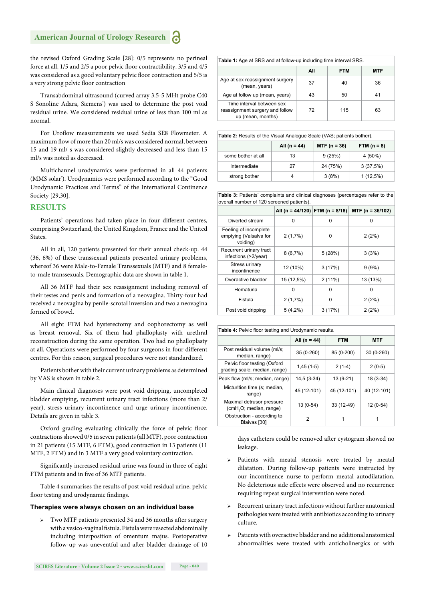the revised Oxford Grading Scale [28]: 0/5 represents no perineal force at all, 1/5 and 2/5 a poor pelvic floor contractibility, 3/5 and 4/5 was considered as a good voluntary pelvic floor contraction and 5/5 is a very strong pelvic floor contraction

Transabdominal ultrasound (curved array 3.5-5 MHt probe C40 S Sonoline Adara, Siemens') was used to determine the post void residual urine. We considered residual urine of less than 100 ml as normal.

For Uroflow measurements we used Sedia SE8 Flowmeter. A maximum flow of more than 20 ml/s was considered normal, between 15 and 19 ml/ s was considered slightly decreased and less than 15 ml/s was noted as decreased.

Multichannel urodynamics were performed in all 44 patients (MMS solar'). Urodynamics were performed according to the "Good Urodynamic Practices and Terms" of the International Continence Society [29,30].

#### **RESULTS**

Patients' operations had taken place in four different centres, comprising Switzerland, the United Kingdom, France and the United **States**.

All in all, 120 patients presented for their annual check-up. 44 (36, 6%) of these transsexual patients presented urinary problems, whereof 36 were Male-to-Female Transsexuals (MTF) and 8 femaleto-male transsexuals. Demographic data are shown in table 1.

All 36 MTF had their sex reassignment including removal of their testes and penis and formation of a neovagina. Thirty-four had received a neovagina by penile-scrotal inversion and two a neovagina formed of bowel.

All eight FTM had hysterectomy and oophorectomy as well as breast removal. Six of them had phalloplasty with urethral reconstruction during the same operation. Two had no phalloplasty at all. Operations were performed by four surgeons in four different centres. For this reason, surgical procedures were not standardized.

Patients bother with their current urinary problems as determined by VAS is shown in table 2.

Main clinical diagnoses were post void dripping, uncompleted bladder emptying, recurrent urinary tract infections (more than 2/ year), stress urinary incontinence and urge urinary incontinence. Details are given in table 3.

Oxford grading evaluating clinically the force of pelvic floor contractions showed 0/5 in seven patients (all MTF), poor contraction in 21 patients (15 MTF, 6 FTM), good contraction in 13 patients (11 MTF, 2 FTM) and in 3 MTF a very good voluntary contraction.

Significantly increased residual urine was found in three of eight FTM patients and in five of 36 MTF patients.

Table 4 summarises the results of post void residual urine, pelvic floor testing and urodynamic findings.

#### **Therapies were always chosen on an individual base**

Two MTF patients presented 34 and 36 months after surgery with a vesico-vaginal fistula. Fistula were resected abdominally including interposition of omentum majus. Postoperative follow-up was uneventful and after bladder drainage of 10

| <b>Table 1:</b> Age at SRS and at follow-up including time interval SRS.          |     |            |            |  |
|-----------------------------------------------------------------------------------|-----|------------|------------|--|
|                                                                                   | All | <b>FTM</b> | <b>MTF</b> |  |
| Age at sex reassignment surgery<br>(mean, years)                                  | 37  | 40         | 36         |  |
| Age at follow up (mean, years)                                                    | 43  | 50         | 41         |  |
| Time interval between sex<br>reassignment surgery and follow<br>up (mean, months) | 72  | 115        | 63         |  |

**Table 2***:* Results of the Visual Analogue Scale (VAS; patients bother).

|                    | All (n = 44) | $MTF (n = 36)$ | FTM $(n = 8)$ |
|--------------------|--------------|----------------|---------------|
| some bother at all | 13           | 9(25%)         | 4 (50%)       |
| Intermediate       | 27           | 24 (75%)       | 3(37,5%)      |
| strong bother      |              | 3(8%)          | $1(12,5\%)$   |

**Table 3:** Patients' complaints and clinical diagnoses (percentages refer to the overall number of 120 screened patients).

|                                                             | All (n = 44/120) FTM (n = 8/18) |        | $MTF$ (n = 36/102) |
|-------------------------------------------------------------|---------------------------------|--------|--------------------|
| Diverted stream                                             | 0                               | ŋ      | ŋ                  |
| Feeling of incomplete<br>emptying (Valsalva for<br>voiding) | 2(1,7%)                         | 0      | 2(2%)              |
| Recurrent urinary tract<br>infections (>2/year)             | 8(6,7%)                         | 5(28%) | 3(3%)              |
| Stress urinary<br>incontinence                              | 12 (10%)                        | 3(17%) | 9(9%)              |
| Overactive bladder                                          | 15 (12,5%)                      | 2(11%) | 13 (13%)           |
| Hematuria                                                   | 0                               | 0      | O                  |
| Fistula                                                     | 2(1,7%)                         | ŋ      | 2(2%)              |
| Post void dripping                                          | $5(4,2\%)$                      | 3(17%) | 2(2%)              |

| Table 4: Pelvic floor testing and Urodynamic results.            |                  |             |             |  |
|------------------------------------------------------------------|------------------|-------------|-------------|--|
|                                                                  | All ( $n = 44$ ) | <b>FTM</b>  | <b>MTF</b>  |  |
| Post residual volume (ml/s;<br>median, range)                    | 35 (0-260)       | 85 (0-200)  | $30(0-260)$ |  |
| Pelvic floor testing (Oxford<br>grading scale; median, range)    | $1,45(1-5)$      | $2(1-4)$    | $2(0-5)$    |  |
| Peak flow (ml/s; median, range)                                  | $14.5(3-34)$     | 13 (9-21)   | $18(3-34)$  |  |
| Micturition time (s; median,<br>range)                           | 45 (12-101)      | 45 (12-101) | 40 (12-101) |  |
| Maximal detrusor pressure<br>(cmH <sub>2</sub> O; median, range) | 13 (0-54)        | 33 (12-49)  | $12(0-54)$  |  |
| Obstruction - according to<br>Blaivas [30]                       | 2                | 1           |             |  |

days catheters could be removed after cystogram showed no leakage.

- Patients with meatal stenosis were treated by meatal dilatation. During follow-up patients were instructed by our incontinence nurse to perform meatal autodilatation. No deleterious side effects were observed and no recurrence requiring repeat surgical intervention were noted.
- ➢ Recurrent urinary tract infections without further anatomical pathologies were treated with antibiotics according to urinary culture.
- ➢ Patients with overactive bladder and no additional anatomical abnormalities were treated with anticholinergics or with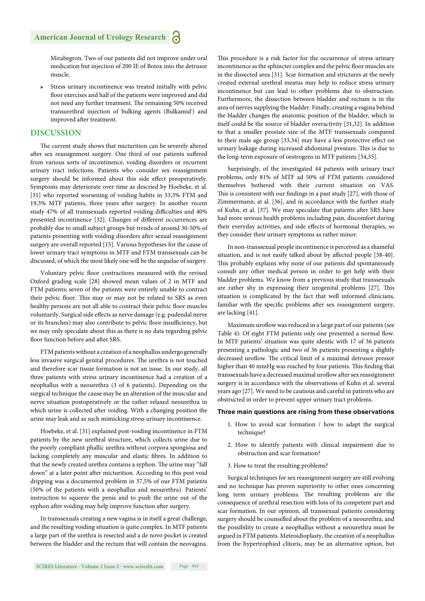Mirabegron. Two of our patients did not improve under oral medication but injection of 200 IE of Botox into the detrusor muscle.

Stress urinary incontinence was treated initially with pelvic floor exercises and half of the patients were improved and did not need any further treatment. The remaining 50% received transurethral injection of bulking agents (Bulkamid') and improved after treatment.

#### **DISCUSSION**

The current study shows that micturition can be severely altered after sex reassignment surgery. One third of our patients suffered from various sorts of incontinence, voiding disorders or recurrent urinary tract infections. Patients who consider sex reassignment surgery should be informed about this side effect preoperatively. Symptoms may deteriorate over time as descried by Hoebeke, et al. [31] who reported worsening of voiding habits in 33,3% FTM and 19,3% MTF patients, three years after surgery. In another recent study 47% of all transsexuals reported voiding difficulties and 40% presented incontinence [32]. Changes of different occurrences are probably due to small subject groups but trends of around 30-50% of patients presenting with voiding disorders after sexual reassignment surgery are overall reported [15]. Various hypotheses for the cause of lower urinary tract symptoms in MTF and FTM transsexuals can be discussed, of which the most likely one will be the sequelae of surgery.

Voluntary pelvic floor contractions measured with the revised Oxford grading scale [28] showed mean values of 2 in MTF and FTM patients; seven of the patients were entirely unable to contract their pelvic floor. This may or may not be related to SRS as even healthy persons are not all able to contract their pelvic floor muscles voluntarily. Surgical side effects as nerve damage (e.g. pudendal nerve or its branches) may also contribute to pelvic floor insufficiency, but we may only speculate about this as there is no data regarding pelvic floor function before and after SRS.

FTM patients without a creation of a neophallus undergo generally less invasive surgical genital procedures. The urethra is not touched and therefore scar tissue formation is not an issue. In our study, all three patients with stress urinary incontinence had a creation of a neophallus with a neourethra (3 of 6 patients). Depending on the surgical technique the cause may be an alteration of the muscular and nerve situation postoperatively or the rather relaxed neourethra in which urine is collected after voiding. With a changing position the urine may leak and as such mimicking stress urinary incontinence.

Hoebeke, et al. [31] explained post-voiding incontinence in FTM patients by the new urethral structure, which collects urine due to the poorly compliant phallic urethra without corpora spongiosa and lacking completely any muscular and elastic fibres. In addition to that the newly created urethra contains a syphon. The urine may "fall down" at a later point after micturition. According to this post void dripping was a documented problem in 37,5% of our FTM patients (50% of the patients with a neophallus and neourethra). Patients' instruction to squeeze the penis and to push the urine out of the syphon after voiding may help improve function after surgery.

In transsexuals creating a new vagina is in itself a great challenge, and the resulting voiding situation is quite complex. In MTF patients a large part of the urethra is resected and a de novo pocket is created between the bladder and the rectum that will contain the neovagina. This procedure is a risk factor for the occurrence of stress urinary incontinence as the sphincter complex and the pelvic floor muscles are in the dissected area [31]*.* Scar formation and strictures at the newly created external urethral meatus may help to reduce stress urinary incontinence but can lead to other problems due to obstruction. Furthermore, the dissection between bladder and rectum is in the area of nerves supplying the bladder. Finally, creating a vagina behind the bladder changes the anatomic position of the bladder, which in itself could be the source of bladder overactivity [31,32]. In addition to that a smaller prostate size of the MTF transsexuals compared to their male age group [33,34] may have a less protective effect on urinary leakage during increased abdominal pressure. This is due to the long-term exposure of oestrogens in MTF patients [34,35].

Surprisingly, of the investigated 44 patients with urinary tract problems, only 81% of MTF ad 50% of FTM patients considered themselves bothered with their current situation on VAS. This is consistent with our findings in a past study [27], with those of Zimmermann, at al. [36], and in accordance with the further study of Kuhn, et al. [37]. We may speculate that patients after SRS have had more serious health problems including pain, discomfort during their everyday activities, and side effects of hormonal therapies, so they consider their urinary symptoms as rather minor.

In non-transsexual people incontinence is perceived as a shameful situation, and is not easily talked about by affected people [38-40]. This probably explains why none of our patients did spontaneously consult any other medical person in order to get help with their bladder problems. We know from a previous study that transsexuals are rather shy in expressing their urogenital problems [27]. This situation is complicated by the fact that well informed clinicians, familiar with the specific problems after sex reassignment surgery, are lacking [41].

Maximum uroflow was reduced in a large part of our patients (see Table 4): Of eight FTM patients only one presented a normal flow. In MTF patients' situation was quite identic with 17 of 36 patients presenting a pathologic and two of 36 patients presenting a slightly decreased uroflow. The critical limit of a maximal detrusor pressor higher than 40 mmHg was reached by four patients. This finding that transsexuals have a decreased maximal uroflow after sex reassignment surgery is in accordance with the observations of Kuhn et al. several years ago [27]. We need to be cautious and careful in patients who are obstructed in order to prevent upper urinary tract problems.

#### **Three main questions are rising from these observations**

- 1. How to avoid scar formation / how to adapt the surgical technique?
- 2. How to identify patients with clinical impairment due to obstruction and scar formation?
- 3. How to treat the resulting problems?

Surgical techniques for sex reassignment surgery are still evolving and no technique has proven superiority to other ones concerning long term urinary problems. The resulting problems are the consequence of urethral resection with loss of its competent part and scar formation. In our opinion, all transsexual patients considering surgery should be counselled about the problem of a neourethra, and the possibility to create a neophallus without a neourethra must be argued in FTM patients. Meteoidioplasty, the creation of a neophallus from the hypertrophied clitoris, may be an alternative option, but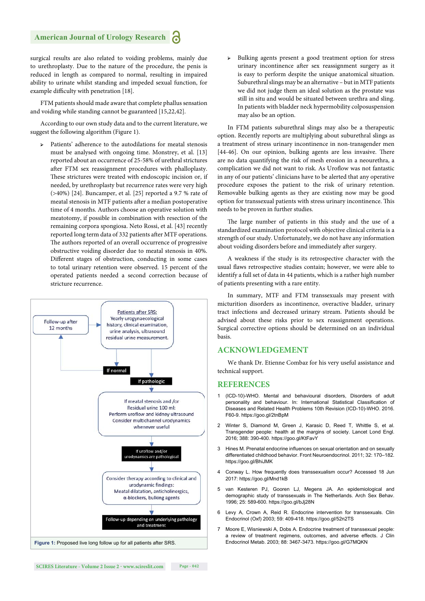surgical results are also related to voiding problems, mainly due to urethroplasty. Due to the nature of the procedure, the penis is reduced in length as compared to normal, resulting in impaired ability to urinate whilst standing and impeded sexual function, for example difficulty with penetration [18].

FTM patients should made aware that complete phallus sensation and voiding while standing cannot be guaranteed [15,22,42].

According to our own study data and to the current literature, we suggest the following algorithm (Figure 1).

➢ Patients' adherence to the autodilations for meatal stenosis must be analysed with ongoing time. Monstrey, et al. [13] reported about an occurrence of 25-58% of urethral strictures after FTM sex reassignment procedures with phalloplasty. These strictures were treated with endoscopic incision or, if needed, by urethroplasty but recurrence rates were very high (>40%) [24]. Buncamper, et al. [25] reported a 9.7 % rate of meatal stenosis in MTF patients after a median postoperative time of 4 months. Authors choose an operative solution with meatotomy, if possible in combination with resection of the remaining corpora spongiosa. Neto Rossi, et al. [43] recently reported long term data of 332 patients after MTF operations. The authors reported of an overall occurrence of progressive obstructive voiding disorder due to meatal stenosis in 40%. Different stages of obstruction, conducting in some cases to total urinary retention were observed. 15 percent of the operated patients needed a second correction because of stricture recurrence.



➢ Bulking agents present a good treatment option for stress urinary incontinence after sex reassignment surgery as it is easy to perform despite the unique anatomical situation. Suburethral slings may be an alternative – but in MTF patients we did not judge them an ideal solution as the prostate was still in situ and would be situated between urethra and sling. In patients with bladder neck hypermobility colposuspension may also be an option.

In FTM patients suburethral slings may also be a therapeutic option. Recently reports are multiplying about suburethral slings as a treatment of stress urinary incontinence in non-transgender men [44-46]. On our opinion, bulking agents are less invasive. There are no data quantifying the risk of mesh erosion in a neourethra, a complication we did not want to risk. As Uroflow was not fantastic in any of our patients' clinicians have to be alerted that any operative procedure exposes the patient to the risk of urinary retention. Removable bulking agents as they are existing now may be good option for transsexual patients with stress urinary incontinence. This needs to be proven in further studies.

The large number of patients in this study and the use of a standardized examination protocol with objective clinical criteria is a strength of our study. Unfortunately, we do not have any information about voiding disorders before and immediately after surgery.

A weakness if the study is its retrospective character with the usual flaws retrospective studies contain; however, we were able to identify a full set of data in 44 patients, which is a rather high number of patients presenting with a rare entity.

In summary, MTF and FTM transsexuals may present with micturition disorders as incontinence, overactive bladder, urinary tract infections and decreased urinary stream. Patients should be advised about these risks prior to sex reassignment operations. Surgical corrective options should be determined on an individual basis.

#### **ACKNOWLEDGEMENT**

We thank Dr. Etienne Combaz for his very useful assistance and technical support.

#### **REFERENCES**

- 1 (ICD-10)-WHO. Mental and behavioural disorders, Disorders of adult personality and behaviour. In: International Statistical Classification of Diseases and Related Health Problems 10th Revision (ICD-10)-WHO. 2016. F60-9. https://goo.gl/2tnBpM
- 2. Winter S, Diamond M, Green J, Karasic D, Reed T, Whittle S, et al. Transgender people: health at the margins of society. Lancet Lond Engl. 2016; 388: 390-400. https://goo.gl/KtFavY
- 3 Hines M. Prenatal endocrine influences on sexual orientation and on sexually differentiated childhood behavior. Front Neuroendocrinol. 2011; 32: 170–182. https://goo.gl/BhiJMK
- 4 Conway L. How frequently does transsexualism occur? Accessed 18 Jun 2017: https://goo.gl/Mnd1kB
- 5 van Kesteren PJ, Gooren LJ, Megens JA. An epidemiological and demographic study of transsexuals in The Netherlands. Arch Sex Behav. 1996; 25: 589-600. https://goo.gl/bJj28N
- 6 Levy A, Crown A, Reid R. Endocrine intervention for transsexuals. Clin Endocrinol (Oxf) 2003; 59: 409-418. https://goo.gl/52n2TS
- 7 Moore E, Wisniewski A, Dobs A. Endocrine treatment of transsexual people: a review of treatment regimens, outcomes, and adverse effects. J Clin Endocrinol Metab. 2003; 88: 3467-3473. https://goo.gl/G7MQKN